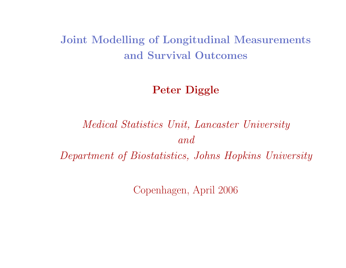# Joint Modelling of Longitudinal Measurements and Survival Outcomes

# Peter Diggle

# Medical Statistics Unit, Lancaster University andDepartment of Biostatistics, Johns Hopkins University

Copenhagen, April 2006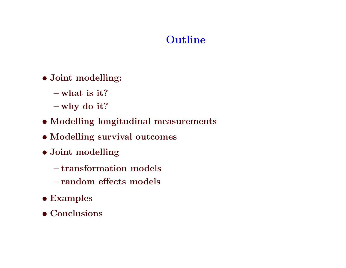# Outline

- Joint modelling:
	- $-$  what is it?
	- why do it?
- Modelling longitudinal measurements
- Modelling survival outcomes
- Joint modelling
	- transformation models
	- random effects models
- Examples
- Conclusions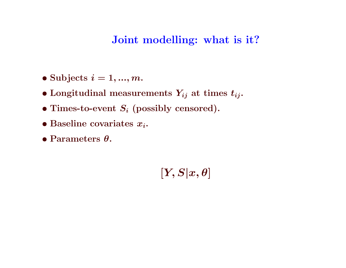## Joint modelling: what is it?

- Subjects  $i = 1, ..., m$ .
- $\bullet$  Longitudinal measurements  $Y_{ij}$  at times  $t_{ij}.$
- Times-to-event  $S_i$  (possibly censored).
- Baseline covariates  $x_i$ .
- Parameters  $\theta$ .

 $[Y, S | x, \theta]$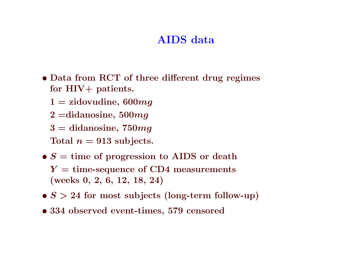# AIDS data

- Data from RCT of three different drug regimes for  ${\rm HIV+}$  patients.
	- $1 =$  zidovudine, 600 $mg$
	- $2$  =didanosine,  $500mg$
	- $3 = {\rm didanosine},\,750mg$
	- $\mathrm{Total}\,\,n=913\,\,\mathrm{subjects.}$
- $\bullet$   $S =$  time of progression to AIDS or death  $Y =$  time-sequence of CD4 measurements (weeks 0, 2, 6, 12, 18, 24)
- $\bullet$   $S > 24$  for most subjects (long-term follow-up)
- 334 observed event-times, 579 censored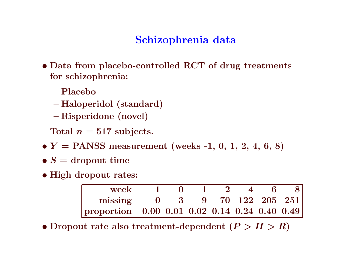# Schizophrenia data

- Data from placebo-controlled RCT of drug treatments for schizophrenia:
	- Placebo
	- Haloperidol (standard)
	- Risperidone (novel)

 $\text{Total}$   $n=517$  subjects.

- $\bullet$   $Y =$  PANSS measurement (weeks -1, 0, 1, 2, 4, 6, 8)
- $\bullet$   $S=$  dropout time
- High dropout rates:

| week $-1$ 0 1 2 4 6 8                                 |  |  |  |  |
|-------------------------------------------------------|--|--|--|--|
| missing 0 3 9 70 122 205 251                          |  |  |  |  |
| proportion $0.00\ 0.01\ 0.02\ 0.14\ 0.24\ 0.40\ 0.49$ |  |  |  |  |

 $\bullet$  Dropout rate also treatment-dependent  $(P > H > R)$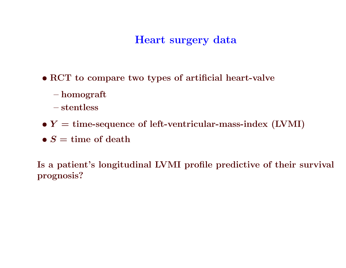# Heart surgery data

- RCT to compare two types of artificial heart-valve
	- homograft
	- $-$  stentless
- $\bullet$   $\boldsymbol{Y} = \text{time-sequence of left-ventricular-mass-index (LVMI)}$
- $\bullet$   $S =$  time of death

Is a patient's longitudinal LVMI profile predictive of their survival prognosis?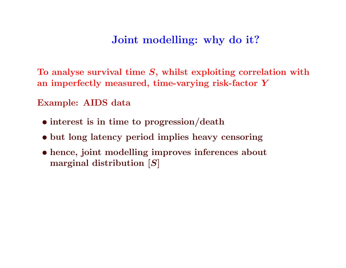### Joint modelling: why do it?

To analyse survival time  $S,$  whilst exploiting correlation with an imperfectly measured, time-varying risk-factor  $\boldsymbol{Y}$ 

Example: AIDS data

- interest is in time to progression/death
- but long latency period implies heavy censoring
- hence, joint modelling improves inferences about marginal distribution [S]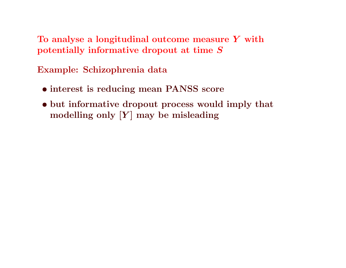To analyse a longitudinal outcome measure  $\boldsymbol{Y}$  with potentially informative dropout at time S

Example: Schizophrenia data

- interest is reducing mean PANSS score
- but informative dropout process would imply that modelling only  $[Y]$  may be misleading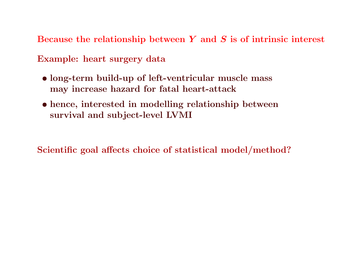Because the relationship between  $\boldsymbol{Y}$  and  $\boldsymbol{S}$  is of intrinsic interest

Example: heart surgery data

- long-term build-up of left-ventricular muscle mass may increase hazard for fatal heart-attack
- hence, interested in modelling relationship between survival and subject-level LVMI

Scientific goa<sup>l</sup> affects choice of statistical model/method?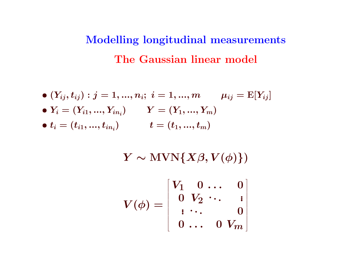# Modelling longitudinal measurements The Gaussian linear model

$$
\begin{aligned} &\bullet \ (Y_{ij},t_{ij}): j=1,...,n_i; \ i=1,...,m \qquad \mu_{ij} = \mathrm{E}[Y_{ij}] \\ &\bullet \ Y_i = (Y_{i1},...,Y_{in_i}) \qquad Y = (Y_1,...,Y_m) \\ &\bullet \ t_i = (t_{i1},...,t_{in_i}) \qquad \quad t = (t_1,...,t_m) \end{aligned}
$$

 $Y \sim \text{MVN}\{X\beta, V(\phi)\})$ 

$$
V(\phi)=\left[\begin{array}{cccc} V_1 & 0 & \ldots & 0 \\ 0 & V_2 & \cdots & \vdots \\ \vdots & \ddots & \vdots & 0 \\ 0 & \ldots & 0 & V_m \end{array}\right]
$$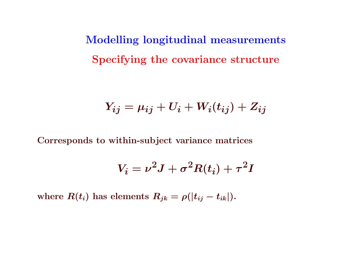Modelling longitudinal measurements Specifying the covariance structure

$$
Y_{ij} = \mu_{ij} + U_i + W_i(t_{ij}) + Z_{ij}
$$

Corresponds to within-subject variance matrices

$$
V_i = \nu^2 J + \sigma^2 R(t_i) + \tau^2 I
$$

where  $R(t_i)$  has elements  $R_{jk} = \rho(|t_{ij}-t_{ik}|).$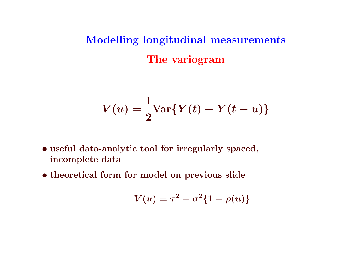Modelling longitudinal measurements The variogram

$$
V(u)=\frac{1}{2}\text{Var}\{Y(t)-Y(t-u)\}
$$

- useful data-analytic tool for irregularly spaced, incomplete data
- theoretical form for model on previous slide

$$
V(u)=\tau^2+\sigma^2\{1-\rho(u)\}
$$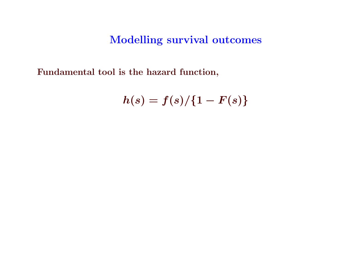Modelling survival outcomes

Fundamental tool is the hazard function,

 $h(s) = f(s)/\{1-F(s)\}$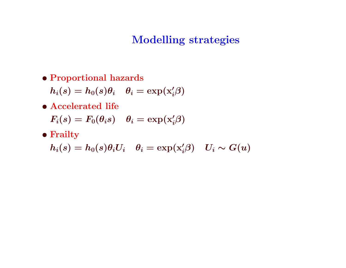# Modelling strategies

• Proportional hazards

 $h_i(s) = h_0(s)\theta_i \quad \theta_i = \exp(\mathbf{x}_i'\boldsymbol{\beta})$ 

- Accelerated life  $F_i(s) = F_0(\theta_i s)$   $\theta_i = \exp(\mathbf{x}'_i \beta)$
- Frailty

 $h_i(s) = h_0(s)\theta_i U_i \quad \theta_i = \exp(\mathbf{x}'_i\beta) \quad U_i \sim G(u)$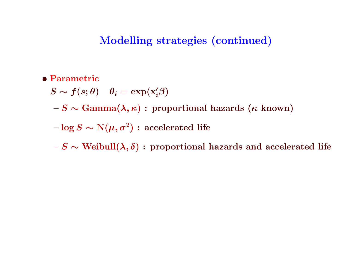### Modelling strategies (continued)

• Parametric

 $S \thicksim f(s; \theta) \quad \theta_i = \exp(\mathrm{x}_i^{\prime} \beta)$ 

 $-S \sim \text{Gamma}(\lambda, \kappa):$  proportional hazards  $(\kappa \; \text{known})$ 

 $-\log S \sim \text{N}(\mu, \sigma^2): \text{ accelerated life}$ 

 $-S \sim \text{Weibull}(\boldsymbol{\lambda}, \boldsymbol{\delta}):$  proportional hazards and accelerated life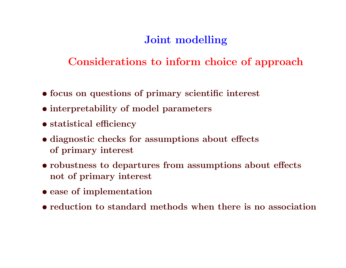# Joint modelling

# Considerations to inform choice of approach

- focus on questions of primary scientific interest
- interpretability of model parameters
- statistical efficiency
- diagnostic checks for assumptions about effects of primary interest
- robustness to departures from assumptions about effects not of primary interest
- ease of implementation
- reduction to standard methods when there is no association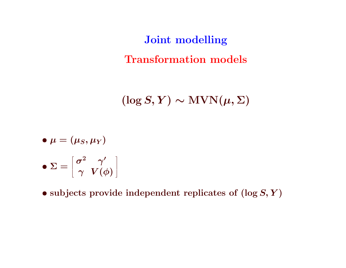Joint modelling Transformation models

 $(\log S, Y) \sim \text{MVN}(\mu, \Sigma)$ 

$$
\bullet~\mu=(\mu_S,\mu_Y)
$$

$$
\bullet~\Sigma = \left[ \begin{smallmatrix} \sigma^2 & \gamma' \\ \gamma & V(\phi) \end{smallmatrix} \right]
$$

 $\bullet$  subjects provide independent replicates of  $(\log S, Y)$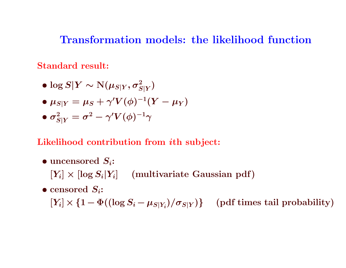### Transformation models: the likelihood function

Standard result:

$$
\bullet\log S|Y\sim\mathrm{N}(\mu_{S|Y},\sigma_{S|Y}^2)
$$

- $\bullet~ \mu_{S|Y} = \mu_S + \gamma' V(\phi)^{-1}(Y-\mu_Y)$
- $\bullet$   $\sigma_{S|Y}^2 = \sigma^2 \gamma' V(\phi)^{-1} \gamma$

### Likelihood contribution from  $i\mathrm{th}$  subject:

- $\bullet$  uncensored  $S_i$ :
	- $[Y_i] \times [\log S_i | Y_i]$  (multivariate Gaussian pdf)
- $\bullet$  censored  $S_i$ :

 $[Y_i] \times \{1 - \Phi((\log S_i - \mu_{S|Y_i})/\sigma_{S|Y})\}$  (pdf times tail probability)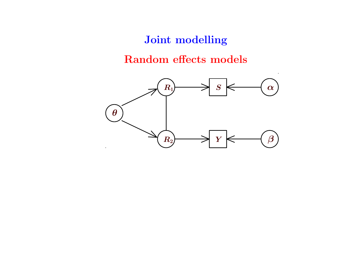### Joint modelling

### Random effects models

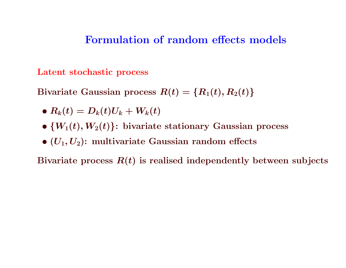### Formulation of random effects models

Latent stochastic process

Bivariate Gaussian process  $R(t)=\{R_1(t),R_2(t)\}$ 

- $\bullet$   $R_k(t) = D_k(t) U_k + W_k(t)$
- $\bullet\; \{W_1(t),W_2(t)\} \colon \text{bivariate stationary Gaussian process}$
- $\bullet$   $(U_1,U_2)$ : multivariate Gaussian random effects

Bivariate process  $\boldsymbol{R}(t)$  is realised independently between subjects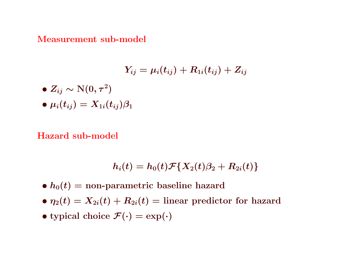#### Measurement sub-model

$$
Y_{ij}=\mu_i(t_{ij})+R_{1i}(t_{ij})+Z_{ij}
$$

$$
\bullet~Z_{ij}\sim \mathrm{N}(0,\tau^2)
$$

 $\bullet~ \mu_i(t_{ij}) = X_{1i}(t_{ij}) \beta_1$ 

#### Hazard sub-model

$$
h_i(t)=h_0(t)\mathcal{F}\{X_2(t)\beta_2+R_{2i}(t)\}
$$

- $\bullet$   $h_0(t) =$  non-parametric baseline hazard
- $\bullet$   $\eta_2(t) = X_{2i}(t) + R_{2i}(t) =$  linear predictor for hazard
- typical choice  $\mathcal{F}(\cdot) = \exp(\cdot)$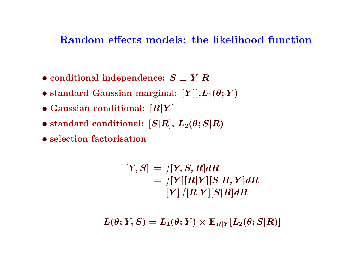### Random effects models: the likelihood function

- $\bullet$  conditional independence:  $S \perp Y \vert R$
- $\bullet$  standard Gaussian marginal:  $[Y]], L_1(\theta;Y)$
- $\bullet$  Gaussian conditional:  $[R|Y]$
- $\bullet$  standard conditional:  $[S|R], \, L_2(\theta;S|R)$
- selection factorisation

$$
\begin{aligned} [Y,S]&=\mathbf{1}[Y,S,R]dR \\ &=\mathbf{1}[Y][R|Y][S|R,Y]dR \\ &=\left[ Y\right] / [R|Y][S|R]dR \end{aligned}
$$

 $L(\theta;Y,S) = L_1(\theta;Y) \times \mathrm{E}_{R|Y}[L_2(\theta;S|R)]$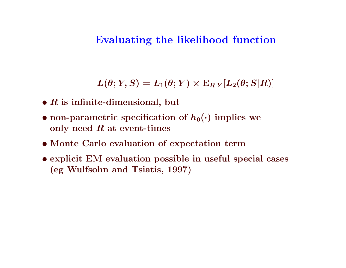### Evaluating the likelihood function

 $L(\theta;Y,S) = L_1(\theta;Y) \times \mathrm{E}_{R|Y}[L_2(\theta;S|R)]$ 

- $\bullet$   $R$  is infinite-dimensional, but
- non-parametric specification of  $h_0(\cdot)$  implies we only need  $R$  at event-times
- Monte Carlo evaluation of expectation term
- explicit EM evaluation possible in useful special cases (eg Wulfsohn and Tsiatis, 1997)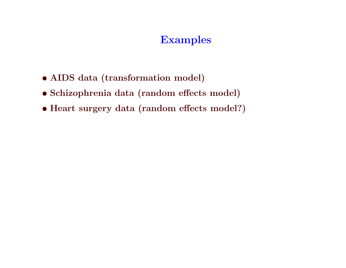# Examples

- AIDS data (transformation model)
- Schizophrenia data (random effects model)
- Heart surgery data (random effects model?)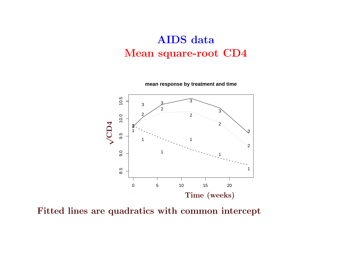# AIDS data Mean square-root CD4 **replace**<br>Mean square-roo



Fitted lines are quadratics with common intercept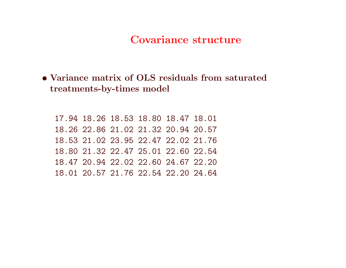### Covariance structure

• Variance matrix of OLS residuals from saturated treatments-by-times model

17.94 18.26 18.53 18.80 18.47 18.01 18.26 22.86 21.02 21.32 20.94 20.57 18.53 21.02 23.95 22.47 22.02 21.76 18.80 21.32 22.47 25.01 22.60 22.54 18.47 20.94 22.02 22.60 24.67 22.20 18.01 20.57 21.76 22.54 22.20 24.64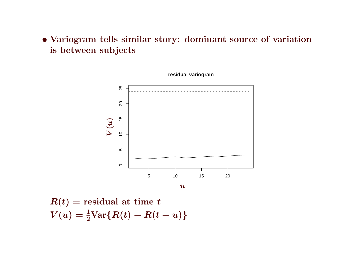# • Variogram tells similar story: dominant source of variation is between subjects milar story: dominant so<br>ts



 $R(t)$  = residual at time t  $V(u)=\frac{1}{2}\text{Var}\{R(t)-R(t-u)\}$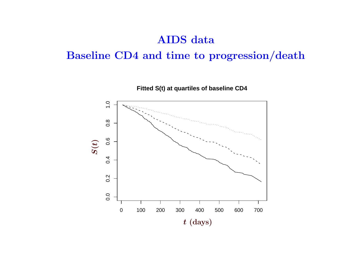### AIDS data

# Baseline CD4 and time to progression/death AIDS data<br>CD4 and time to pr

**Fitted S(t) at quartiles of baseline CD4**

 $\overline{1}$ .0 0.0 0.2 0.4 0.6 0.8 1.0  $0.\overline{8}$  $0.\overline{6}$ ) $\vec{\phantom{0}}$  $\widetilde{\mathbf{S}}$  $0.4$  $0.2$  $0.0$ 0 100 200 300 400 500 600 700  $t\,\, \mathrm{(days)}$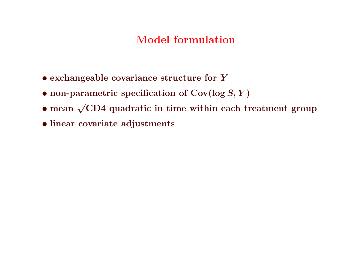# Model formulation

- exchangeable covariance structure for Y
- $\bullet$  non-parametric specification of  $\text{Cov}(\log S, Y)$
- mean  $\sqrt{\text{CD4}}$  quadratic in time within each treatment group
- linear covariate adjustments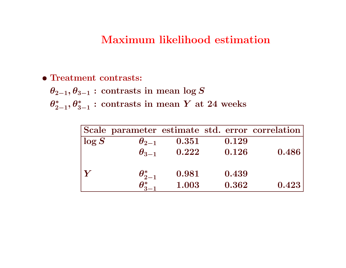### Maximum likelihood estimation

#### • Treatment contrasts:

 $\theta_{2-1}, \theta_{3-1}$ : contrasts in mean log S

 $\theta^*_{2-1}, \theta^*_{3-1}:\, \text{contrasts in mean}\; Y \; \text{at}\; 24 \; \text{weeks}$ 

|       |                                    |       |       | Scale parameter estimate std. error correlation |
|-------|------------------------------------|-------|-------|-------------------------------------------------|
| log S | $\theta_{2-1}$                     | 0.351 | 0.129 |                                                 |
|       | $\theta_{3-1}$                     | 0.222 | 0.126 | 0.486                                           |
|       |                                    |       |       |                                                 |
|       | $\theta^*_{2-1}$                   | 0.981 | 0.439 |                                                 |
|       | $\boldsymbol{\theta}_\mathrm{o}^*$ | 1.003 | 0.362 | 0.423                                           |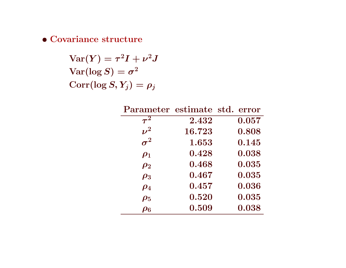• Covariance structure

 $\text{Var}(Y) = \tau^2 I + \nu^2 J$  $\text{Var}(\log S) = \sigma^2$  $Corr(\log S, Y_j) = \rho_j$ 

| Parameter estimate std. |        | error |
|-------------------------|--------|-------|
| $\tau^{\tilde{2}}$      | 2.432  | 0.057 |
| $\nu^2$                 | 16.723 | 0.808 |
| $\boldsymbol{\sigma}^2$ | 1.653  | 0.145 |
| $\boldsymbol{\rho}_1$   | 0.428  | 0.038 |
| $\boldsymbol{\rho_2}$   | 0.468  | 0.035 |
| $\boldsymbol{\rho_3}$   | 0.467  | 0.035 |
| $\boldsymbol{\rho_4}$   | 0.457  | 0.036 |
| $\boldsymbol{\rho_5}$   | 0.520  | 0.035 |
| $\boldsymbol{\rho_6}$   | 0.509  | 0.038 |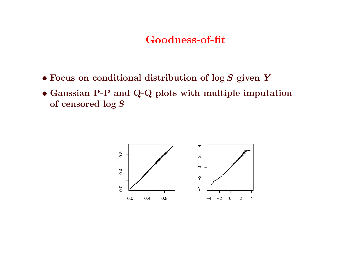### Goodness-of-fit

- Focus on conditional distribution of  $\log S$  given Y  $\frac{1}{\sqrt{2}}$
- Gaussian P-P and Q-Q plots with multiple imputation of censored  $\log S$ of censored  $\log S$  $\frac{1}{2}$ <br>istribution of log  $S$ <br>by plots with multiple

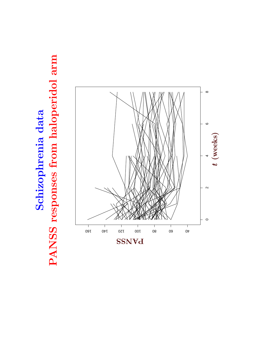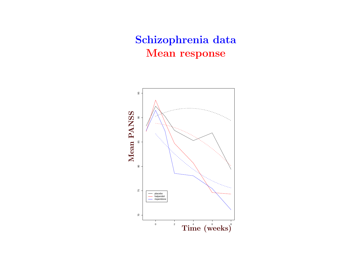# Schizophrenia data Mean response

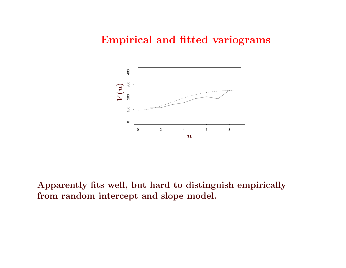### Empirical and fitted variograms



 $\theta$  $\overline{\text{mdom}}$  inter Apparently fits well, but hard to distinguish empirically from random intercept and slope model.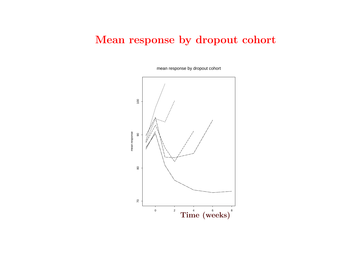# Mean response by dropout cohort α β



mean response by dropout cohort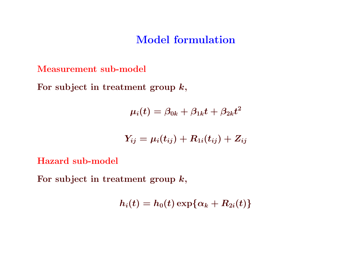### Model formulation

Measurement sub-model

For subject in treatment group  $k,$ 

$$
\mu_i(t)=\beta_{0k}+\beta_{1k}t+\beta_{2k}t^2
$$

$$
Y_{ij}=\mu_i(t_{ij})+R_{1i}(t_{ij})+Z_{ij}
$$

Hazard sub-model

For subject in treatment group  $k,$ 

 $h_i(t) = h_0(t) \exp{\{\alpha_k + R_{2i}(t)\}}$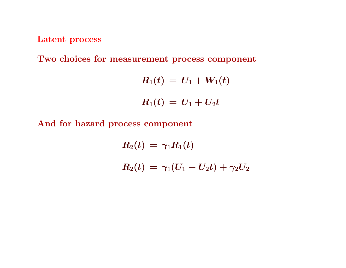Latent process

Two choices for measurement process component

$$
R_1(t) \, = \, U_1 + W_1(t) \\[4mm] R_1(t) \, = \, U_1 + U_2 t
$$

And for hazard process component

$$
\begin{array}{l} R_2(t)\,=\,\gamma_1R_1(t)\\ \\ R_2(t)\,=\,\gamma_1(U_1+U_2t)+\gamma_2U_2 \end{array}
$$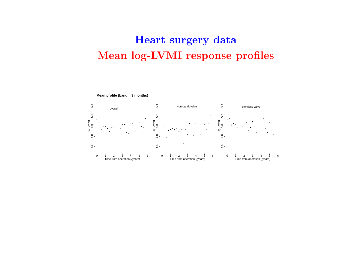# Heart surgery data Mean log-LVMI response profiles

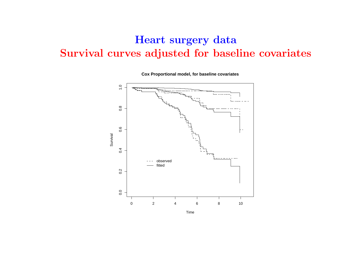# Heart surgery data Survival curves adjusted for baseline covariates



**Cox Proportional model, for baseline covariates**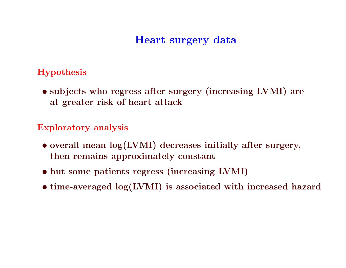# Heart surgery data

### Hypothesis

• subjects who regress after surgery (increasing LVMI) are at greater risk of heart attack

### Exploratory analysis

- overall mean log(LVMI) decreases initially after surgery, then remains approximately constant
- but some patients regress (increasing LVMI)
- time-averaged log(LVMI) is associated with increased hazard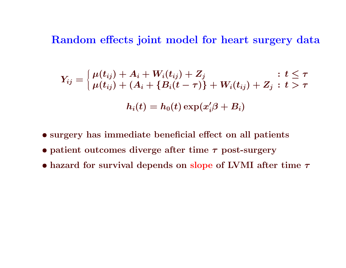Random effects joint model for heart surgery data

$$
Y_{ij} = \begin{cases} \mu(t_{ij}) + A_i + W_i(t_{ij}) + Z_j & : \text{$t \leq \tau$} \\ \mu(t_{ij}) + (A_i + \{B_i(t-\tau)\} + W_i(t_{ij}) + Z_j & : \text{$t > \tau$} \end{cases}
$$

$$
h_i(t) = h_0(t) \exp(x_i'\beta + B_i)
$$

- surgery has immediate beneficial effect on all patients
- patient outcomes diverge after time  $\tau$  post-surgery
- hazard for survival depends on slope of LVMI after time  $\tau$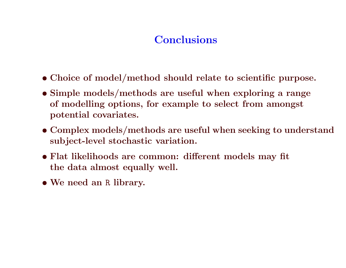# **Conclusions**

- Choice of model/method should relate to scientific purpose.
- Simple models/methods are useful when exploring <sup>a</sup> range of modelling options, for example to select from amongst potential covariates.
- Complex models/methods are useful when seeking to understand subject-level stochastic variation.
- Flat likelihoods are common: different models may fit the data almost equally well.
- We need an <sup>R</sup> library.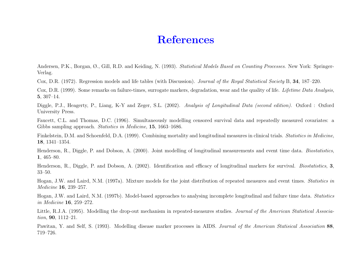### References

Andersen, P.K., Borgan, Ø., Gill, R.D. and Keiding, N. (1993). *Statistical Models Based on Counting Processes*. New York: Springer-Verlag.

Cox, D.R. (1972). Regression models and life tables (with Discussion). Journal of the Royal Statistical Society B, 34, 187–220.

Cox, D.R. (1999). Some remarks on failure-times, surrogate markers, degradation, wear and the quality of life. Lifetime Data Analysis, 5, 307–14.

Diggle, P.J., Heagerty, P., Liang, K-Y and Zeger, S.L. (2002). Analysis of Longitudinal Data (second edition). Oxford : Oxford University Press.

Faucett, C.L. and Thomas, D.C. (1996). Simultaneously modelling censored survival data and repeatedly measured covariates: <sup>a</sup> Gibbs sampling approach. *Statistics in Medicine*, **15**, 1663–1686.

Finkelstein, D.M. and Schoenfeld, D.A. (1999). Combining mortality and longitudinal measures in clinical trials. Statistics in Medicine, 18, 1341–1354.

Henderson, R., Diggle, P. and Dobson, A. (2000). Joint modelling of longitudinal measurements and event time data. *Biostatistics*, 1, 465–80.

Henderson, R., Diggle, P. and Dobson, A. (2002). Identification and efficacy of longitudinal markers for survival. Biostatistics, 3, 33–50.

Hogan, J.W. and Laird, N.M. (1997a). Mixture models for the joint distribution of repeated measures and event times. Statistics in  $Medicine$   ${\bf 16},$   $239–257.$ 

Hogan, J.W. and Laird, N.M. (1997b). Model-based approaches to analysing incomplete longitudinal and failure time data. Statistics in Medicine  $16, 259-272.$ 

Little, R.J.A. (1995). Modelling the drop-out mechanism in repeated-measures studies. Journal of the American Statistical Association, **90**, 1112–21.

Pawitan, Y. and Self, S. (1993). Modelling disease marker processes in AIDS. Journal of the American Statisical Association 88, 719–726.